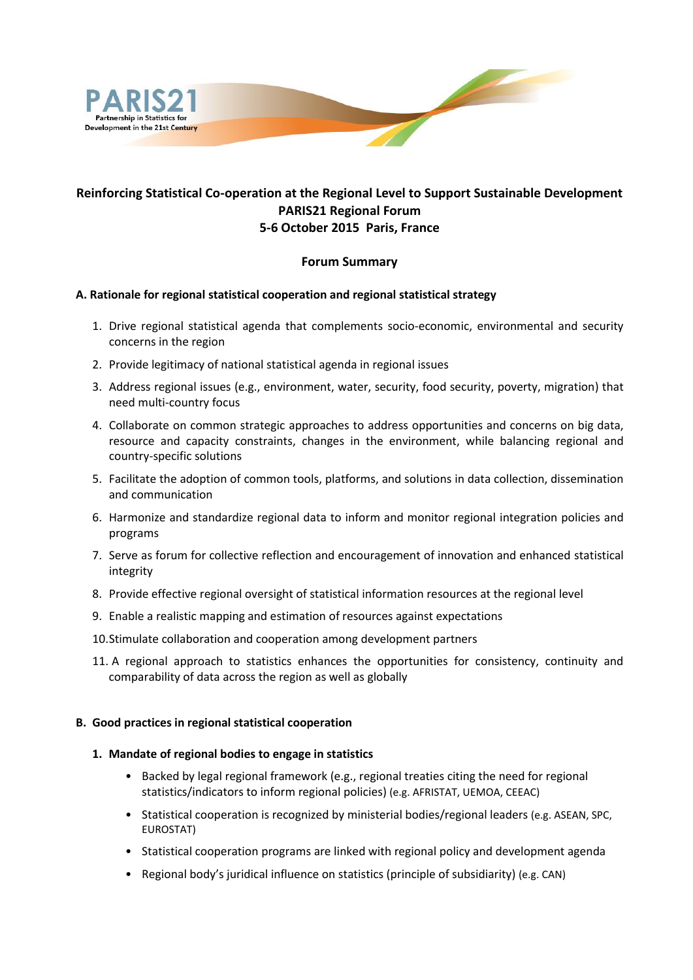

# **Reinforcing Statistical Co-operation at the Regional Level to Support Sustainable Development PARIS21 Regional Forum 5-6 October 2015 Paris, France**

## **Forum Summary**

## **A. Rationale for regional statistical cooperation and regional statistical strategy**

- 1. Drive regional statistical agenda that complements socio-economic, environmental and security concerns in the region
- 2. Provide legitimacy of national statistical agenda in regional issues
- 3. Address regional issues (e.g., environment, water, security, food security, poverty, migration) that need multi-country focus
- 4. Collaborate on common strategic approaches to address opportunities and concerns on big data, resource and capacity constraints, changes in the environment, while balancing regional and country-specific solutions
- 5. Facilitate the adoption of common tools, platforms, and solutions in data collection, dissemination and communication
- 6. Harmonize and standardize regional data to inform and monitor regional integration policies and programs
- 7. Serve as forum for collective reflection and encouragement of innovation and enhanced statistical integrity
- 8. Provide effective regional oversight of statistical information resources at the regional level
- 9. Enable a realistic mapping and estimation of resources against expectations
- 10.Stimulate collaboration and cooperation among development partners
- 11. A regional approach to statistics enhances the opportunities for consistency, continuity and comparability of data across the region as well as globally

### **B. Good practices in regional statistical cooperation**

### **1. Mandate of regional bodies to engage in statistics**

- Backed by legal regional framework (e.g., regional treaties citing the need for regional statistics/indicators to inform regional policies) (e.g. AFRISTAT, UEMOA, CEEAC)
- Statistical cooperation is recognized by ministerial bodies/regional leaders (e.g. ASEAN, SPC, EUROSTAT)
- Statistical cooperation programs are linked with regional policy and development agenda
- Regional body's juridical influence on statistics (principle of subsidiarity) (e.g. CAN)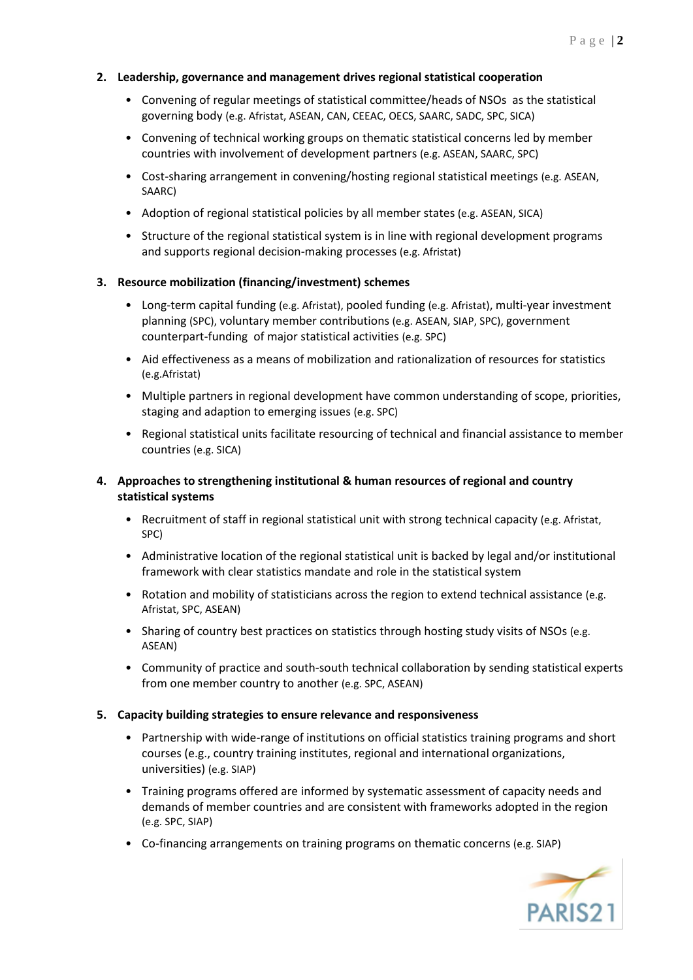## **2. Leadership, governance and management drives regional statistical cooperation**

- Convening of regular meetings of statistical committee/heads of NSOs as the statistical governing body (e.g. Afristat, ASEAN, CAN, CEEAC, OECS, SAARC, SADC, SPC, SICA)
- Convening of technical working groups on thematic statistical concerns led by member countries with involvement of development partners (e.g. ASEAN, SAARC, SPC)
- Cost-sharing arrangement in convening/hosting regional statistical meetings (e.g. ASEAN, SAARC)
- Adoption of regional statistical policies by all member states (e.g. ASEAN, SICA)
- Structure of the regional statistical system is in line with regional development programs and supports regional decision-making processes (e.g. Afristat)

### **3. Resource mobilization (financing/investment) schemes**

- Long-term capital funding (e.g. Afristat), pooled funding (e.g. Afristat), multi-year investment planning (SPC), voluntary member contributions (e.g. ASEAN, SIAP, SPC), government counterpart-funding of major statistical activities (e.g. SPC)
- Aid effectiveness as a means of mobilization and rationalization of resources for statistics (e.g.Afristat)
- Multiple partners in regional development have common understanding of scope, priorities, staging and adaption to emerging issues (e.g. SPC)
- Regional statistical units facilitate resourcing of technical and financial assistance to member countries (e.g. SICA)

## **4. Approaches to strengthening institutional & human resources of regional and country statistical systems**

- Recruitment of staff in regional statistical unit with strong technical capacity (e.g. Afristat, SPC)
- Administrative location of the regional statistical unit is backed by legal and/or institutional framework with clear statistics mandate and role in the statistical system
- Rotation and mobility of statisticians across the region to extend technical assistance (e.g. Afristat, SPC, ASEAN)
- Sharing of country best practices on statistics through hosting study visits of NSOs (e.g. ASEAN)
- Community of practice and south-south technical collaboration by sending statistical experts from one member country to another (e.g. SPC, ASEAN)

### **5. Capacity building strategies to ensure relevance and responsiveness**

- Partnership with wide-range of institutions on official statistics training programs and short courses (e.g., country training institutes, regional and international organizations, universities) (e.g. SIAP)
- Training programs offered are informed by systematic assessment of capacity needs and demands of member countries and are consistent with frameworks adopted in the region (e.g. SPC, SIAP)
- Co-financing arrangements on training programs on thematic concerns (e.g. SIAP)

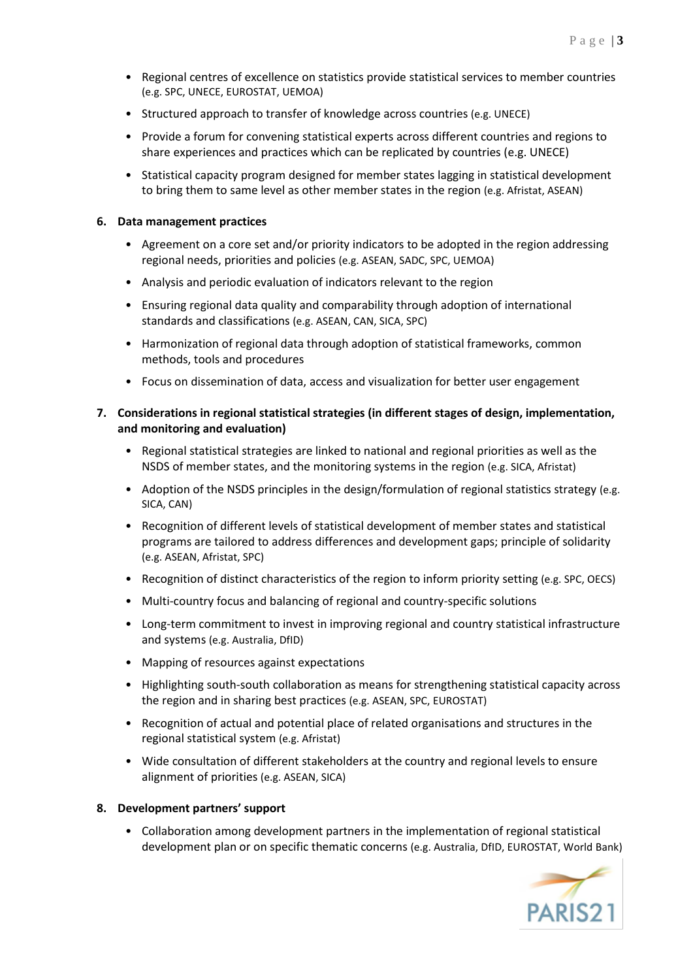- Regional centres of excellence on statistics provide statistical services to member countries (e.g. SPC, UNECE, EUROSTAT, UEMOA)
- Structured approach to transfer of knowledge across countries (e.g. UNECE)
- Provide a forum for convening statistical experts across different countries and regions to share experiences and practices which can be replicated by countries (e.g. UNECE)
- Statistical capacity program designed for member states lagging in statistical development to bring them to same level as other member states in the region (e.g. Afristat, ASEAN)

### **6. Data management practices**

- Agreement on a core set and/or priority indicators to be adopted in the region addressing regional needs, priorities and policies (e.g. ASEAN, SADC, SPC, UEMOA)
- Analysis and periodic evaluation of indicators relevant to the region
- Ensuring regional data quality and comparability through adoption of international standards and classifications (e.g. ASEAN, CAN, SICA, SPC)
- Harmonization of regional data through adoption of statistical frameworks, common methods, tools and procedures
- Focus on dissemination of data, access and visualization for better user engagement

## **7. Considerations in regional statistical strategies (in different stages of design, implementation, and monitoring and evaluation)**

- Regional statistical strategies are linked to national and regional priorities as well as the NSDS of member states, and the monitoring systems in the region (e.g. SICA, Afristat)
- Adoption of the NSDS principles in the design/formulation of regional statistics strategy (e.g. SICA, CAN)
- Recognition of different levels of statistical development of member states and statistical programs are tailored to address differences and development gaps; principle of solidarity (e.g. ASEAN, Afristat, SPC)
- Recognition of distinct characteristics of the region to inform priority setting (e.g. SPC, OECS)
- Multi-country focus and balancing of regional and country-specific solutions
- Long-term commitment to invest in improving regional and country statistical infrastructure and systems (e.g. Australia, DfID)
- Mapping of resources against expectations
- Highlighting south-south collaboration as means for strengthening statistical capacity across the region and in sharing best practices (e.g. ASEAN, SPC, EUROSTAT)
- Recognition of actual and potential place of related organisations and structures in the regional statistical system (e.g. Afristat)
- Wide consultation of different stakeholders at the country and regional levels to ensure alignment of priorities (e.g. ASEAN, SICA)

### **8. Development partners' support**

• Collaboration among development partners in the implementation of regional statistical development plan or on specific thematic concerns (e.g. Australia, DfID, EUROSTAT, World Bank)

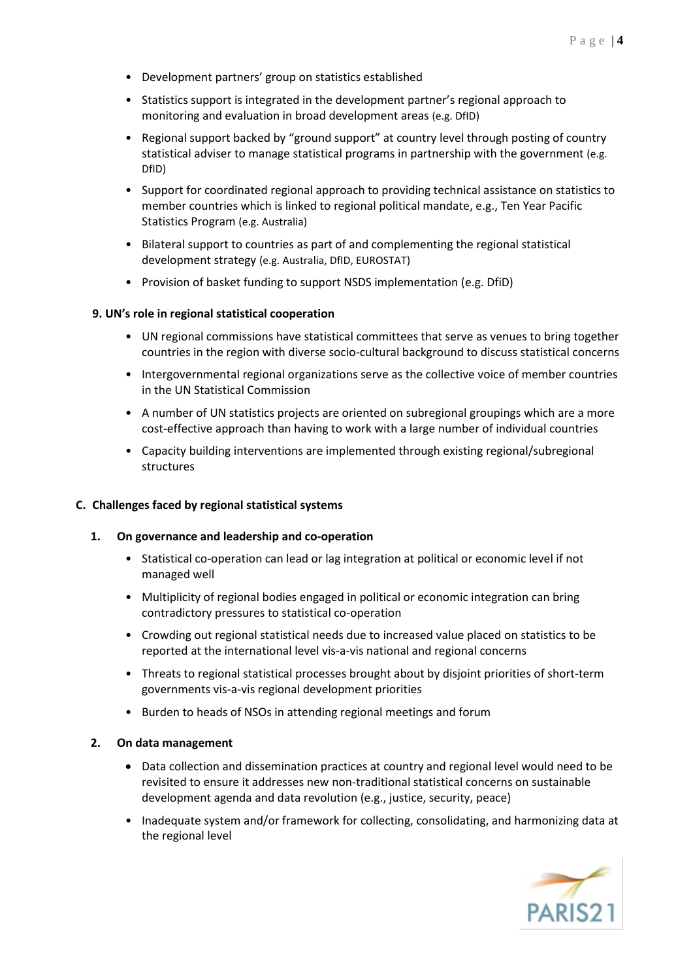- Development partners' group on statistics established
- Statistics support is integrated in the development partner's regional approach to monitoring and evaluation in broad development areas (e.g. DfID)
- Regional support backed by "ground support" at country level through posting of country statistical adviser to manage statistical programs in partnership with the government (e.g. DfID)
- Support for coordinated regional approach to providing technical assistance on statistics to member countries which is linked to regional political mandate, e.g., Ten Year Pacific Statistics Program (e.g. Australia)
- Bilateral support to countries as part of and complementing the regional statistical development strategy (e.g. Australia, DfID, EUROSTAT)
- Provision of basket funding to support NSDS implementation (e.g. DfiD)

## **9. UN's role in regional statistical cooperation**

- UN regional commissions have statistical committees that serve as venues to bring together countries in the region with diverse socio-cultural background to discuss statistical concerns
- Intergovernmental regional organizations serve as the collective voice of member countries in the UN Statistical Commission
- A number of UN statistics projects are oriented on subregional groupings which are a more cost-effective approach than having to work with a large number of individual countries
- Capacity building interventions are implemented through existing regional/subregional structures

### **C. Challenges faced by regional statistical systems**

### **1. On governance and leadership and co-operation**

- Statistical co-operation can lead or lag integration at political or economic level if not managed well
- Multiplicity of regional bodies engaged in political or economic integration can bring contradictory pressures to statistical co-operation
- Crowding out regional statistical needs due to increased value placed on statistics to be reported at the international level vis-a-vis national and regional concerns
- Threats to regional statistical processes brought about by disjoint priorities of short-term governments vis-a-vis regional development priorities
- Burden to heads of NSOs in attending regional meetings and forum

### **2. On data management**

- Data collection and dissemination practices at country and regional level would need to be revisited to ensure it addresses new non-traditional statistical concerns on sustainable development agenda and data revolution (e.g., justice, security, peace)
- Inadequate system and/or framework for collecting, consolidating, and harmonizing data at the regional level

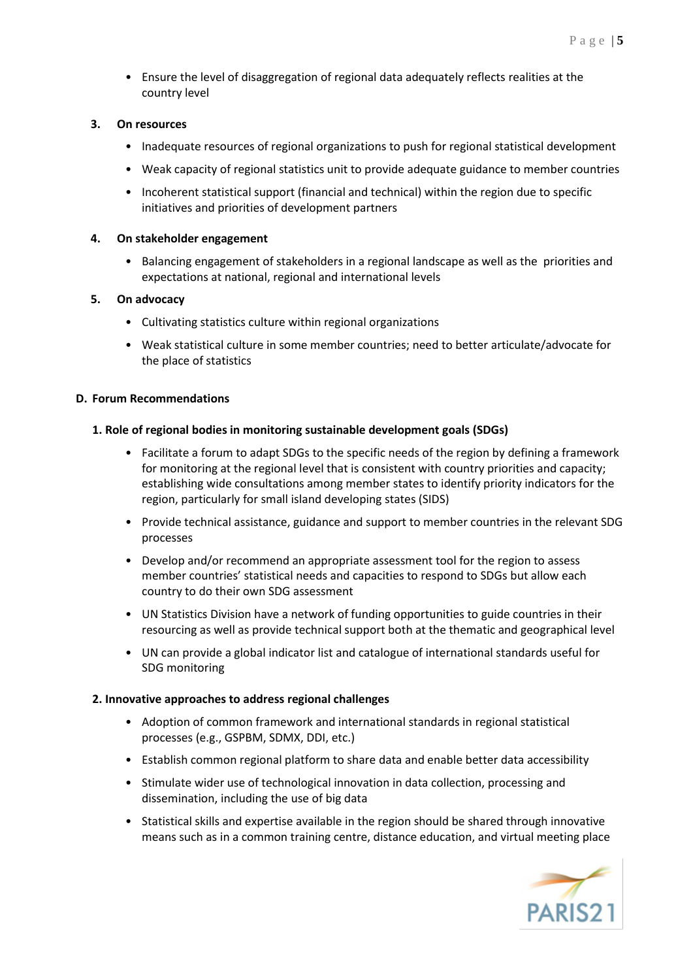• Ensure the level of disaggregation of regional data adequately reflects realities at the country level

### **3. On resources**

- Inadequate resources of regional organizations to push for regional statistical development
- Weak capacity of regional statistics unit to provide adequate guidance to member countries
- Incoherent statistical support (financial and technical) within the region due to specific initiatives and priorities of development partners

#### **4. On stakeholder engagement**

• Balancing engagement of stakeholders in a regional landscape as well as the priorities and expectations at national, regional and international levels

#### **5. On advocacy**

- Cultivating statistics culture within regional organizations
- Weak statistical culture in some member countries; need to better articulate/advocate for the place of statistics

#### **D. Forum Recommendations**

#### **1. Role of regional bodies in monitoring sustainable development goals (SDGs)**

- Facilitate a forum to adapt SDGs to the specific needs of the region by defining a framework for monitoring at the regional level that is consistent with country priorities and capacity; establishing wide consultations among member states to identify priority indicators for the region, particularly for small island developing states (SIDS)
- Provide technical assistance, guidance and support to member countries in the relevant SDG processes
- Develop and/or recommend an appropriate assessment tool for the region to assess member countries' statistical needs and capacities to respond to SDGs but allow each country to do their own SDG assessment
- UN Statistics Division have a network of funding opportunities to guide countries in their resourcing as well as provide technical support both at the thematic and geographical level
- UN can provide a global indicator list and catalogue of international standards useful for SDG monitoring

#### **2. Innovative approaches to address regional challenges**

- Adoption of common framework and international standards in regional statistical processes (e.g., GSPBM, SDMX, DDI, etc.)
- Establish common regional platform to share data and enable better data accessibility
- Stimulate wider use of technological innovation in data collection, processing and dissemination, including the use of big data
- Statistical skills and expertise available in the region should be shared through innovative means such as in a common training centre, distance education, and virtual meeting place